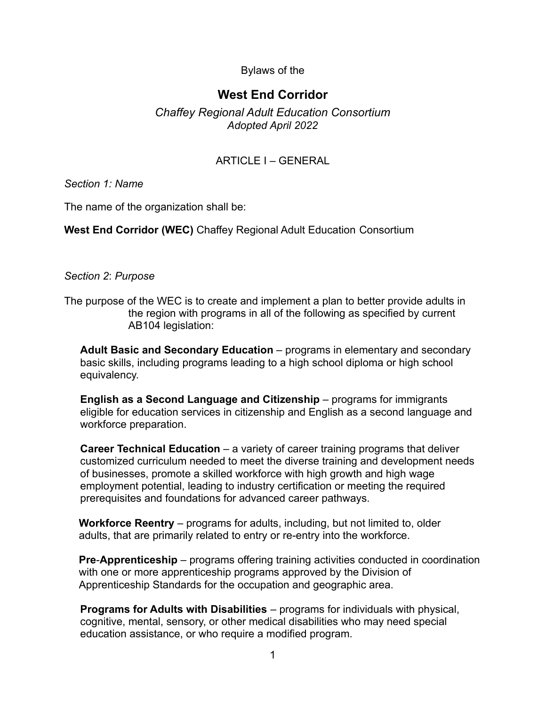### Bylaws of the

# **West End Corridor**

### *Chaffey Regional Adult Education Consortium Adopted April 2022*

## ARTICLE I – GENERAL

*Section 1: Name*

The name of the organization shall be:

**West End Corridor (WEC)** Chaffey Regional Adult Education Consortium

#### *Section 2*: *Purpose*

The purpose of the WEC is to create and implement a plan to better provide adults in the region with programs in all of the following as specified by current AB104 legislation:

**Adult Basic and Secondary Education** – programs in elementary and secondary basic skills, including programs leading to a high school diploma or high school equivalency.

**English as a Second Language and Citizenship** – programs for immigrants eligible for education services in citizenship and English as a second language and workforce preparation.

**Career Technical Education** – a variety of career training programs that deliver customized curriculum needed to meet the diverse training and development needs of businesses, promote a skilled workforce with high growth and high wage employment potential, leading to industry certification or meeting the required prerequisites and foundations for advanced career pathways.

**Workforce Reentry** – programs for adults, including, but not limited to, older adults, that are primarily related to entry or re-entry into the workforce.

**Pre**-**Apprenticeship** – programs offering training activities conducted in coordination with one or more apprenticeship programs approved by the Division of Apprenticeship Standards for the occupation and geographic area.

**Programs for Adults with Disabilities** – programs for individuals with physical, cognitive, mental, sensory, or other medical disabilities who may need special education assistance, or who require a modified program.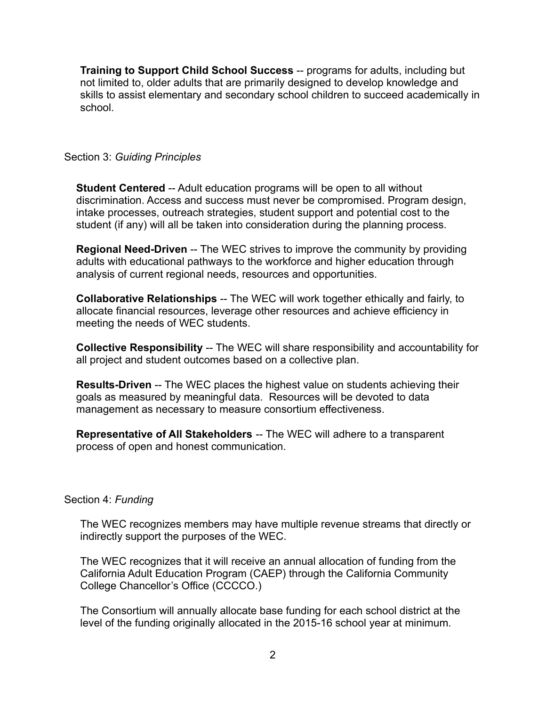**Training to Support Child School Success** -- programs for adults, including but not limited to, older adults that are primarily designed to develop knowledge and skills to assist elementary and secondary school children to succeed academically in school.

#### Section 3: *Guiding Principles*

**Student Centered** -- Adult education programs will be open to all without discrimination. Access and success must never be compromised. Program design, intake processes, outreach strategies, student support and potential cost to the student (if any) will all be taken into consideration during the planning process.

**Regional Need-Driven** -- The WEC strives to improve the community by providing adults with educational pathways to the workforce and higher education through analysis of current regional needs, resources and opportunities.

**Collaborative Relationships** -- The WEC will work together ethically and fairly, to allocate financial resources, leverage other resources and achieve efficiency in meeting the needs of WEC students.

**Collective Responsibility** -- The WEC will share responsibility and accountability for all project and student outcomes based on a collective plan.

**Results-Driven** -- The WEC places the highest value on students achieving their goals as measured by meaningful data. Resources will be devoted to data management as necessary to measure consortium effectiveness.

**Representative of All Stakeholders** -- The WEC will adhere to a transparent process of open and honest communication.

#### Section 4: *Funding*

The WEC recognizes members may have multiple revenue streams that directly or indirectly support the purposes of the WEC.

The WEC recognizes that it will receive an annual allocation of funding from the California Adult Education Program (CAEP) through the California Community College Chancellor's Office (CCCCO.)

The Consortium will annually allocate base funding for each school district at the level of the funding originally allocated in the 2015-16 school year at minimum.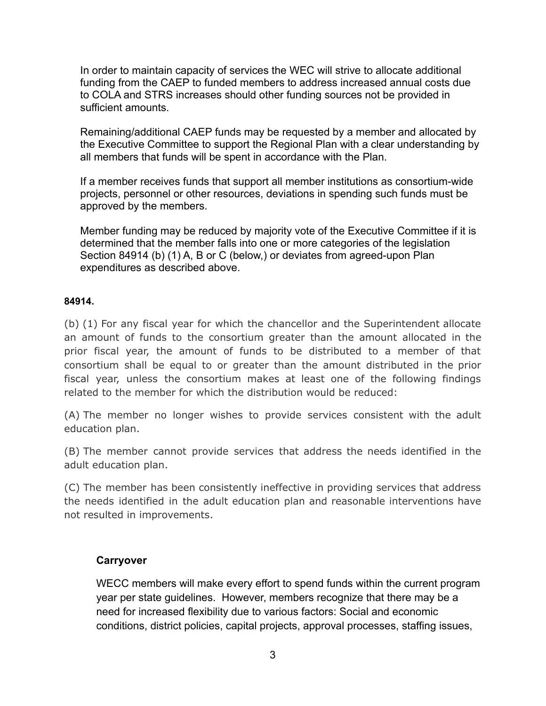In order to maintain capacity of services the WEC will strive to allocate additional funding from the CAEP to funded members to address increased annual costs due to COLA and STRS increases should other funding sources not be provided in sufficient amounts.

Remaining/additional CAEP funds may be requested by a member and allocated by the Executive Committee to support the Regional Plan with a clear understanding by all members that funds will be spent in accordance with the Plan.

If a member receives funds that support all member institutions as consortium-wide projects, personnel or other resources, deviations in spending such funds must be approved by the members.

Member funding may be reduced by majority vote of the Executive Committee if it is determined that the member falls into one or more categories of the legislation Section 84914 (b) (1) A, B or C (below,) or deviates from agreed-upon Plan expenditures as described above.

#### **84914.**

(b) (1) For any fiscal year for which the chancellor and the Superintendent allocate an amount of funds to the consortium greater than the amount allocated in the prior fiscal year, the amount of funds to be distributed to a member of that consortium shall be equal to or greater than the amount distributed in the prior fiscal year, unless the consortium makes at least one of the following findings related to the member for which the distribution would be reduced:

(A) The member no longer wishes to provide services consistent with the adult education plan.

(B) The member cannot provide services that address the needs identified in the adult education plan.

(C) The member has been consistently ineffective in providing services that address the needs identified in the adult education plan and reasonable interventions have not resulted in improvements.

### **Carryover**

WECC members will make every effort to spend funds within the current program year per state guidelines. However, members recognize that there may be a need for increased flexibility due to various factors: Social and economic conditions, district policies, capital projects, approval processes, staffing issues,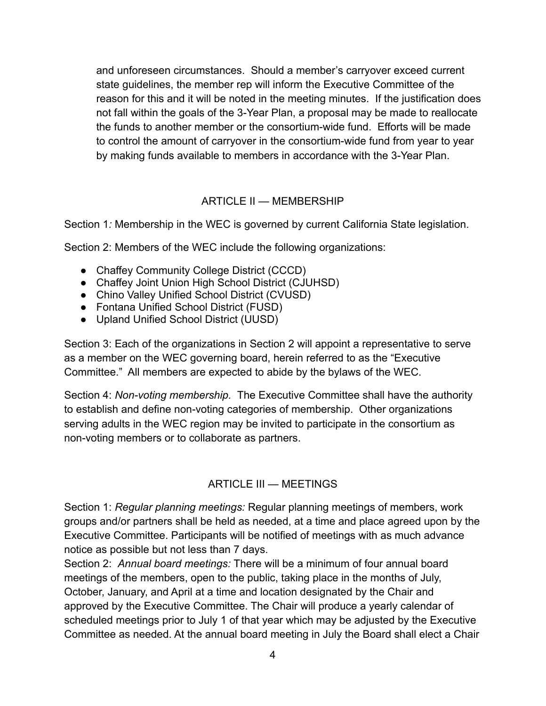and unforeseen circumstances. Should a member's carryover exceed current state guidelines, the member rep will inform the Executive Committee of the reason for this and it will be noted in the meeting minutes. If the justification does not fall within the goals of the 3-Year Plan, a proposal may be made to reallocate the funds to another member or the consortium-wide fund. Efforts will be made to control the amount of carryover in the consortium-wide fund from year to year by making funds available to members in accordance with the 3-Year Plan.

# ARTICLE II — MEMBERSHIP

Section 1*:* Membership in the WEC is governed by current California State legislation.

Section 2: Members of the WEC include the following organizations:

- Chaffey Community College District (CCCD)
- Chaffey Joint Union High School District (CJUHSD)
- Chino Valley Unified School District (CVUSD)
- Fontana Unified School District (FUSD)
- Upland Unified School District (UUSD)

Section 3: Each of the organizations in Section 2 will appoint a representative to serve as a member on the WEC governing board, herein referred to as the "Executive Committee." All members are expected to abide by the bylaws of the WEC.

Section 4: *Non-voting membership.* The Executive Committee shall have the authority to establish and define non-voting categories of membership. Other organizations serving adults in the WEC region may be invited to participate in the consortium as non-voting members or to collaborate as partners.

### ARTICLE III — MEETINGS

Section 1: *Regular planning meetings:* Regular planning meetings of members, work groups and/or partners shall be held as needed, at a time and place agreed upon by the Executive Committee. Participants will be notified of meetings with as much advance notice as possible but not less than 7 days.

Section 2: *Annual board meetings:* There will be a minimum of four annual board meetings of the members, open to the public, taking place in the months of July, October, January, and April at a time and location designated by the Chair and approved by the Executive Committee. The Chair will produce a yearly calendar of scheduled meetings prior to July 1 of that year which may be adjusted by the Executive Committee as needed. At the annual board meeting in July the Board shall elect a Chair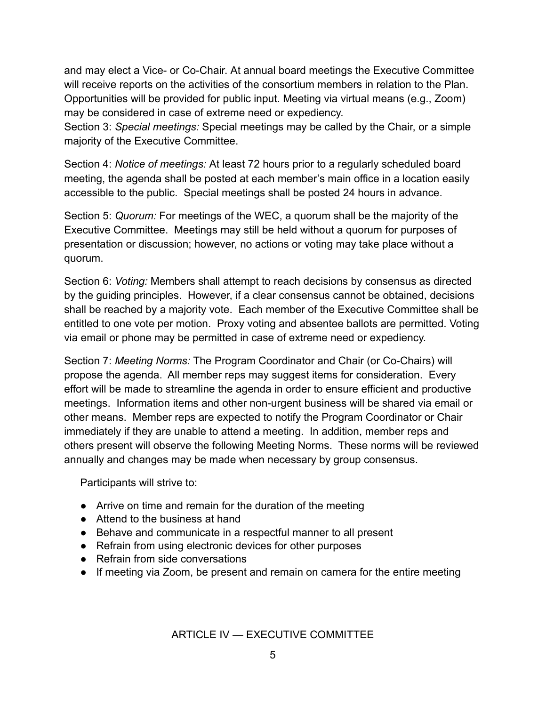and may elect a Vice- or Co-Chair. At annual board meetings the Executive Committee will receive reports on the activities of the consortium members in relation to the Plan. Opportunities will be provided for public input. Meeting via virtual means (e.g., Zoom) may be considered in case of extreme need or expediency.

Section 3: *Special meetings:* Special meetings may be called by the Chair, or a simple majority of the Executive Committee.

Section 4: *Notice of meetings:* At least 72 hours prior to a regularly scheduled board meeting, the agenda shall be posted at each member's main office in a location easily accessible to the public. Special meetings shall be posted 24 hours in advance.

Section 5: *Quorum:* For meetings of the WEC, a quorum shall be the majority of the Executive Committee. Meetings may still be held without a quorum for purposes of presentation or discussion; however, no actions or voting may take place without a quorum.

Section 6: *Voting:* Members shall attempt to reach decisions by consensus as directed by the guiding principles. However, if a clear consensus cannot be obtained, decisions shall be reached by a majority vote. Each member of the Executive Committee shall be entitled to one vote per motion. Proxy voting and absentee ballots are permitted. Voting via email or phone may be permitted in case of extreme need or expediency.

Section 7: *Meeting Norms:* The Program Coordinator and Chair (or Co-Chairs) will propose the agenda. All member reps may suggest items for consideration. Every effort will be made to streamline the agenda in order to ensure efficient and productive meetings. Information items and other non-urgent business will be shared via email or other means. Member reps are expected to notify the Program Coordinator or Chair immediately if they are unable to attend a meeting. In addition, member reps and others present will observe the following Meeting Norms. These norms will be reviewed annually and changes may be made when necessary by group consensus.

Participants will strive to:

- Arrive on time and remain for the duration of the meeting
- Attend to the business at hand
- Behave and communicate in a respectful manner to all present
- Refrain from using electronic devices for other purposes
- Refrain from side conversations
- If meeting via Zoom, be present and remain on camera for the entire meeting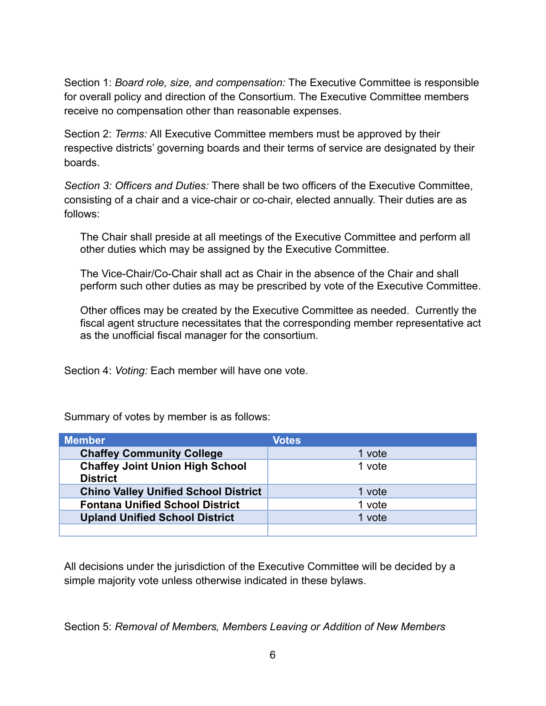Section 1: *Board role, size, and compensation:* The Executive Committee is responsible for overall policy and direction of the Consortium. The Executive Committee members receive no compensation other than reasonable expenses.

Section 2: *Terms:* All Executive Committee members must be approved by their respective districts' governing boards and their terms of service are designated by their boards.

*Section 3: Officers and Duties:* There shall be two officers of the Executive Committee, consisting of a chair and a vice-chair or co-chair, elected annually. Their duties are as follows:

The Chair shall preside at all meetings of the Executive Committee and perform all other duties which may be assigned by the Executive Committee.

The Vice-Chair/Co-Chair shall act as Chair in the absence of the Chair and shall perform such other duties as may be prescribed by vote of the Executive Committee.

Other offices may be created by the Executive Committee as needed. Currently the fiscal agent structure necessitates that the corresponding member representative act as the unofficial fiscal manager for the consortium*.*

Section 4: *Voting:* Each member will have one vote.

| <b>Member</b>                                             | <b>Votes</b> |
|-----------------------------------------------------------|--------------|
| <b>Chaffey Community College</b>                          | 1 vote       |
| <b>Chaffey Joint Union High School</b><br><b>District</b> | 1 vote       |
| <b>Chino Valley Unified School District</b>               | 1 vote       |
| <b>Fontana Unified School District</b>                    | 1 vote       |
| <b>Upland Unified School District</b>                     | 1 vote       |
|                                                           |              |

Summary of votes by member is as follows:

All decisions under the jurisdiction of the Executive Committee will be decided by a simple majority vote unless otherwise indicated in these bylaws.

Section 5: *Removal of Members, Members Leaving or Addition of New Members*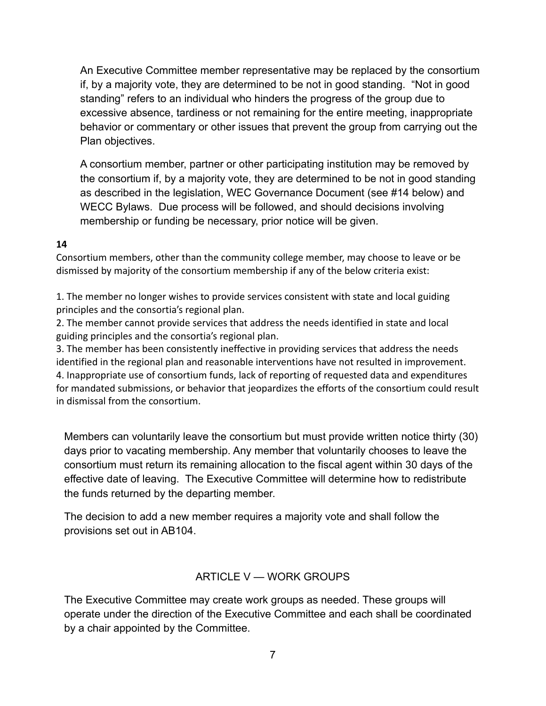An Executive Committee member representative may be replaced by the consortium if, by a majority vote, they are determined to be not in good standing. "Not in good standing" refers to an individual who hinders the progress of the group due to excessive absence, tardiness or not remaining for the entire meeting, inappropriate behavior or commentary or other issues that prevent the group from carrying out the Plan objectives.

A consortium member, partner or other participating institution may be removed by the consortium if, by a majority vote, they are determined to be not in good standing as described in the legislation, WEC Governance Document (see #14 below) and WECC Bylaws. Due process will be followed, and should decisions involving membership or funding be necessary, prior notice will be given.

### **14**

Consortium members, other than the community college member, may choose to leave or be dismissed by majority of the consortium membership if any of the below criteria exist:

1. The member no longer wishes to provide services consistent with state and local guiding principles and the consortia's regional plan.

2. The member cannot provide services that address the needs identified in state and local guiding principles and the consortia's regional plan.

3. The member has been consistently ineffective in providing services that address the needs identified in the regional plan and reasonable interventions have not resulted in improvement. 4. Inappropriate use of consortium funds, lack of reporting of requested data and expenditures for mandated submissions, or behavior that jeopardizes the efforts of the consortium could result in dismissal from the consortium.

Members can voluntarily leave the consortium but must provide written notice thirty (30) days prior to vacating membership. Any member that voluntarily chooses to leave the consortium must return its remaining allocation to the fiscal agent within 30 days of the effective date of leaving. The Executive Committee will determine how to redistribute the funds returned by the departing member.

The decision to add a new member requires a majority vote and shall follow the provisions set out in AB104.

# ARTICLE V — WORK GROUPS

The Executive Committee may create work groups as needed. These groups will operate under the direction of the Executive Committee and each shall be coordinated by a chair appointed by the Committee.